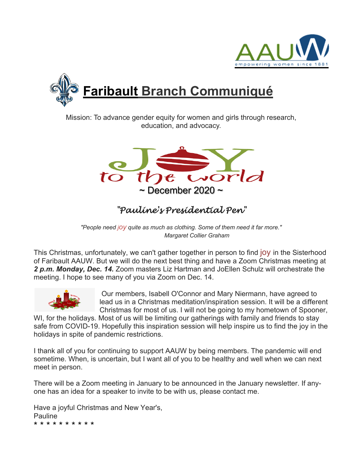



Mission: To advance gender equity for women and girls through research, education, and advocacy.



# *"Pauline's Presidential Pen"*

*"People need joy quite as much as clothing. Some of them need it far more." Margaret Collier Graham*

This Christmas, unfortunately, we can't gather together in person to find joy in the Sisterhood of Faribault AAUW. But we will do the next best thing and have a Zoom Christmas meeting at *2 p.m. Monday, Dec. 14.* Zoom masters Liz Hartman and JoEllen Schulz will orchestrate the meeting. I hope to see many of you via Zoom on Dec. 14.



Our members, Isabell O'Connor and Mary Niermann, have agreed to lead us in a Christmas meditation/inspiration session. It will be a different Christmas for most of us. I will not be going to my hometown of Spooner,

WI, for the holidays. Most of us will be limiting our gatherings with family and friends to stay safe from COVID-19. Hopefully this inspiration session will help inspire us to find the joy in the holidays in spite of pandemic restrictions.

I thank all of you for continuing to support AAUW by being members. The pandemic will end sometime. When, is uncertain, but I want all of you to be healthy and well when we can next meet in person.

There will be a Zoom meeting in January to be announced in the January newsletter. If anyone has an idea for a speaker to invite to be with us, please contact me.

Have a joyful Christmas and New Year's, Pauline \* \* \* \* \* \* \* \* \* \*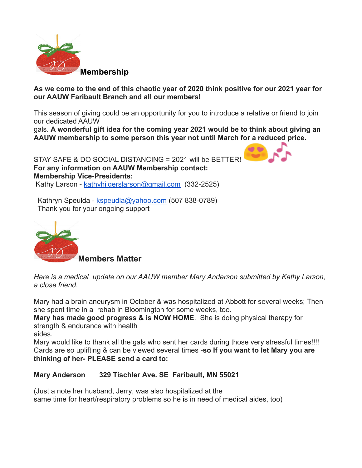

**As we come to the end of this chaotic year of 2020 think positive for our 2021 year for our AAUW Faribault Branch and all our members!**

This season of giving could be an opportunity for you to introduce a relative or friend to join our dedicated AAUW

gals. **A wonderful gift idea for the coming year 2021 would be to think about giving an AAUW membership to some person this year not until March for a reduced price.**

STAY SAFE & DO SOCIAL DISTANCING = 2021 will be BETTER! **For any information on AAUW Membership contact: Membership Vice-Presidents:** Kathy Larson - kathyhilgerslarson@gmail.com (332-2525)

Kathryn Speulda - kspeudla@yahoo.com (507 838-0789) Thank you for your ongoing support



*Here is a medical update on our AAUW member Mary Anderson submitted by Kathy Larson, a close friend.*

Mary had a brain aneurysm in October & was hospitalized at Abbott for several weeks; Then she spent time in a rehab in Bloomington for some weeks, too.

**Mary has made good progress & is NOW HOME**. She is doing physical therapy for strength & endurance with health

aides.

Mary would like to thank all the gals who sent her cards during those very stressful times!!!! Cards are so uplifting & can be viewed several times -**so If you want to let Mary you are thinking of her- PLEASE send a card to:**

#### **Mary Anderson 329 Tischler Ave. SE Faribault, MN 55021**

(Just a note her husband, Jerry, was also hospitalized at the same time for heart/respiratory problems so he is in need of medical aides, too)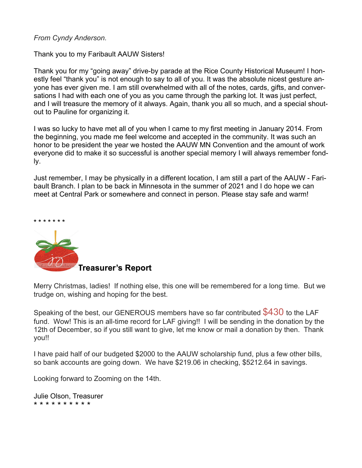#### *From Cyndy Anderson.*

Thank you to my Faribault AAUW Sisters!

Thank you for my "going away" drive-by parade at the Rice County Historical Museum! I honestly feel "thank you" is not enough to say to all of you. It was the absolute nicest gesture anyone has ever given me. I am still overwhelmed with all of the notes, cards, gifts, and conversations I had with each one of you as you came through the parking lot. It was just perfect, and I will treasure the memory of it always. Again, thank you all so much, and a special shoutout to Pauline for organizing it.

I was so lucky to have met all of you when I came to my first meeting in January 2014. From the beginning, you made me feel welcome and accepted in the community. It was such an honor to be president the year we hosted the AAUW MN Convention and the amount of work everyone did to make it so successful is another special memory I will always remember fondly.

Just remember, I may be physically in a different location, I am still a part of the AAUW - Faribault Branch. I plan to be back in Minnesota in the summer of 2021 and I do hope we can meet at Central Park or somewhere and connect in person. Please stay safe and warm!



Merry Christmas, ladies! If nothing else, this one will be remembered for a long time. But we trudge on, wishing and hoping for the best.

Speaking of the best, our GENEROUS members have so far contributed  $$430$  to the LAF fund. Wow! This is an all-time record for LAF giving!! I will be sending in the donation by the 12th of December, so if you still want to give, let me know or mail a donation by then. Thank you!!

I have paid half of our budgeted \$2000 to the AAUW scholarship fund, plus a few other bills, so bank accounts are going down. We have \$219.06 in checking, \$5212.64 in savings.

Looking forward to Zooming on the 14th.

Julie Olson, Treasurer \* \* \* \* \* \* \* \* \* \*